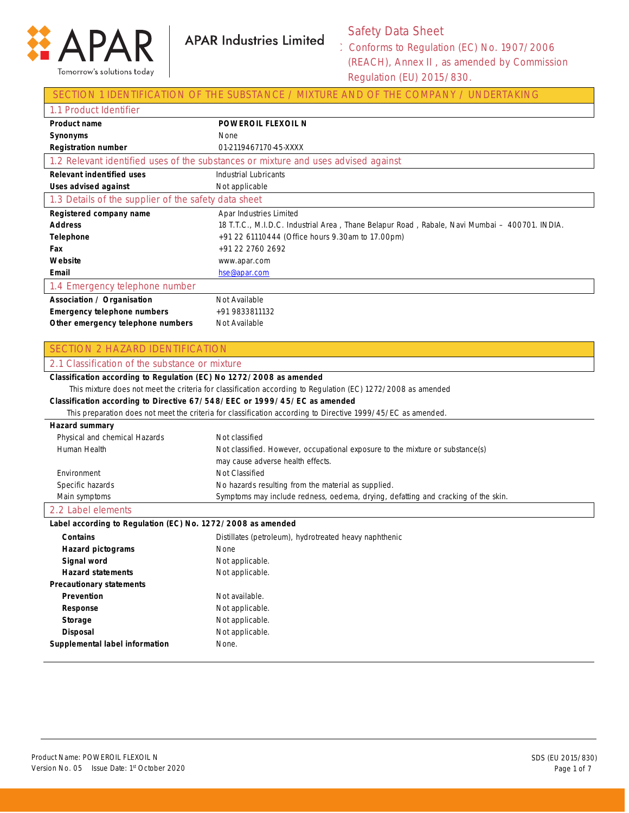

**APAR Industries Limited** 

## Safety Data Sheet

Conforms to Regulation (EC) No. 1907/2006 (REACH), Annex II , as amended by Commission Regulation (EU) 2015/830.

### SECTION 1 IDENTIFICATION OF THE SUBSTANCE / MIXTURE AND OF THE COMPANY / UNDERTAKING

| 1.1 Product Identifier                               |                                                                                               |
|------------------------------------------------------|-----------------------------------------------------------------------------------------------|
| <b>Product name</b>                                  | <b>POWEROIL FLEXOIL N</b>                                                                     |
| Synonyms                                             | None                                                                                          |
| <b>Registration number</b>                           | 01-2119467170-45-XXXX                                                                         |
|                                                      | 1.2 Relevant identified uses of the substances or mixture and uses advised against            |
| <b>Relevant indentified uses</b>                     | Industrial Lubricants                                                                         |
| <b>Uses advised against</b>                          | Not applicable                                                                                |
| 1.3 Details of the supplier of the safety data sheet |                                                                                               |
| Registered company name                              | Apar Industries Limited                                                                       |
| <b>Address</b>                                       | 18 T.T.C., M.I.D.C. Industrial Area, Thane Belapur Road, Rabale, Navi Mumbai – 400701. INDIA. |
| <b>Telephone</b>                                     | +91 22 61110444 (Office hours 9.30am to 17.00pm)                                              |
| Fax                                                  | +91 22 2760 2692                                                                              |
| Website                                              | www.apar.com                                                                                  |
| Email                                                | hse@apar.com                                                                                  |
| 1.4 Emergency telephone number                       |                                                                                               |
| Association / Organisation                           | Not Available                                                                                 |
| <b>Emergency telephone numbers</b>                   | +91 9833811132                                                                                |
| Other emergency telephone numbers                    | Not Available                                                                                 |

#### SECTION 2 HAZARD IDENTIFICATION

#### 2.1 Classification of the substance or mixture **Classification according to Regulation (EC) No 1272/2008 as amended** This mixture does not meet the criteria for classification according to Regulation (EC) 1272/2008 as amended **Classification according to Directive 67/548/EEC or 1999/45/EC as amended** This preparation does not meet the criteria for classification according to Directive 1999/45/EC as amended. **Hazard summary** Physical and chemical Hazards Human Health Environment Specific hazards Main symptoms Not classified Not classified. However, occupational exposure to the mixture or substance(s) may cause adverse health effects. Not Classified No hazards resulting from the material as supplied. Symptoms may include redness, oedema, drying, defatting and cracking of the skin.

#### 2.2 Label elements

#### **Label according to Regulation (EC) No. 1272/2008 as amended**

| <b>Contains</b>                 | Distillates (petroleum), hydrotreated heavy naphthenic |
|---------------------------------|--------------------------------------------------------|
| <b>Hazard pictograms</b>        | <b>None</b>                                            |
| Signal word                     | Not applicable.                                        |
| <b>Hazard statements</b>        | Not applicable.                                        |
| <b>Precautionary statements</b> |                                                        |
| <b>Prevention</b>               | Not available.                                         |
| Response                        | Not applicable.                                        |
| Storage                         | Not applicable.                                        |
| <b>Disposal</b>                 | Not applicable.                                        |
| Supplemental label information  | None.                                                  |
|                                 |                                                        |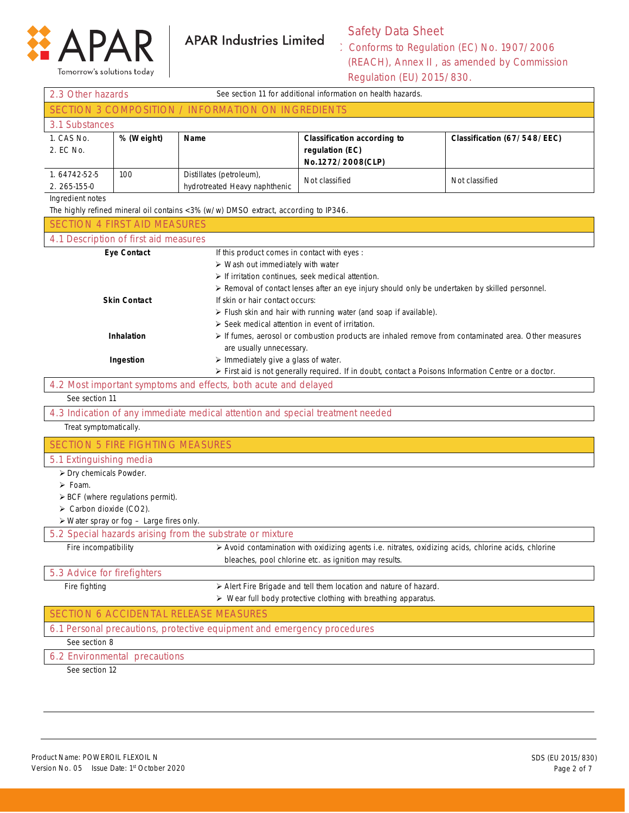

**APAR Industries Limited** 

## Safety Data Sheet

Conforms to Regulation (EC) No. 1907/2006 (REACH), Annex II , as amended by Commission Regulation (EU) 2015/830.

|                                                                                                                                                                                              |                                                         |                                                                                     | Regulation (LO) 2019, 000.                                                                           |                             |
|----------------------------------------------------------------------------------------------------------------------------------------------------------------------------------------------|---------------------------------------------------------|-------------------------------------------------------------------------------------|------------------------------------------------------------------------------------------------------|-----------------------------|
| See section 11 for additional information on health hazards.<br>2.3 Other hazards<br>SECTION 3 COMPOSITION / INFORMATION ON INGREDIENTS                                                      |                                                         |                                                                                     |                                                                                                      |                             |
|                                                                                                                                                                                              |                                                         |                                                                                     |                                                                                                      |                             |
| 3.1 Substances                                                                                                                                                                               |                                                         |                                                                                     |                                                                                                      |                             |
| 1. CAS No.                                                                                                                                                                                   | % (Weight)                                              | Name                                                                                | <b>Classification according to</b>                                                                   | Classification (67/548/EEC) |
| 2. EC No.                                                                                                                                                                                    |                                                         |                                                                                     | regulation (EC)                                                                                      |                             |
| 1.64742-52-5                                                                                                                                                                                 | 100                                                     | Distillates (petroleum),                                                            | No.1272/2008(CLP)                                                                                    |                             |
| 2.265-155-0                                                                                                                                                                                  |                                                         | hydrotreated Heavy naphthenic                                                       | Not classified                                                                                       | Not classified              |
| Ingredient notes                                                                                                                                                                             |                                                         |                                                                                     |                                                                                                      |                             |
|                                                                                                                                                                                              |                                                         | The highly refined mineral oil contains <3% (w/w) DMSO extract, according to IP346. |                                                                                                      |                             |
| <b>SECTION 4 FIRST AID MEASURES</b>                                                                                                                                                          |                                                         |                                                                                     |                                                                                                      |                             |
| 4.1 Description of first aid measures                                                                                                                                                        |                                                         |                                                                                     |                                                                                                      |                             |
|                                                                                                                                                                                              | <b>Eye Contact</b>                                      | If this product comes in contact with eyes :                                        |                                                                                                      |                             |
|                                                                                                                                                                                              |                                                         | $\triangleright$ Wash out immediately with water                                    |                                                                                                      |                             |
|                                                                                                                                                                                              |                                                         | $\triangleright$ If irritation continues, seek medical attention.                   |                                                                                                      |                             |
|                                                                                                                                                                                              |                                                         |                                                                                     | > Removal of contact lenses after an eye injury should only be undertaken by skilled personnel.      |                             |
|                                                                                                                                                                                              | <b>Skin Contact</b>                                     | If skin or hair contact occurs:                                                     |                                                                                                      |                             |
|                                                                                                                                                                                              |                                                         |                                                                                     | > Flush skin and hair with running water (and soap if available).                                    |                             |
| $\triangleright$ Seek medical attention in event of irritation.<br><b>Inhalation</b><br>> If fumes, aerosol or combustion products are inhaled remove from contaminated area. Other measures |                                                         |                                                                                     |                                                                                                      |                             |
| are usually unnecessary.                                                                                                                                                                     |                                                         |                                                                                     |                                                                                                      |                             |
| > Immediately give a glass of water.<br>Ingestion                                                                                                                                            |                                                         |                                                                                     |                                                                                                      |                             |
| > First aid is not generally required. If in doubt, contact a Poisons Information Centre or a doctor.                                                                                        |                                                         |                                                                                     |                                                                                                      |                             |
|                                                                                                                                                                                              |                                                         | 4.2 Most important symptoms and effects, both acute and delayed                     |                                                                                                      |                             |
| See section 11                                                                                                                                                                               |                                                         |                                                                                     |                                                                                                      |                             |
|                                                                                                                                                                                              |                                                         | 4.3 Indication of any immediate medical attention and special treatment needed      |                                                                                                      |                             |
| Treat symptomatically.                                                                                                                                                                       |                                                         |                                                                                     |                                                                                                      |                             |
| <b>SECTION 5 FIRE FIGHTING MEASURES</b>                                                                                                                                                      |                                                         |                                                                                     |                                                                                                      |                             |
| 5.1 Extinguishing media                                                                                                                                                                      |                                                         |                                                                                     |                                                                                                      |                             |
| > Dry chemicals Powder.                                                                                                                                                                      |                                                         |                                                                                     |                                                                                                      |                             |
| $\triangleright$ Foam.                                                                                                                                                                       |                                                         |                                                                                     |                                                                                                      |                             |
|                                                                                                                                                                                              | $\triangleright$ BCF (where regulations permit).        |                                                                                     |                                                                                                      |                             |
| $\triangleright$ Carbon dioxide (CO2).                                                                                                                                                       |                                                         |                                                                                     |                                                                                                      |                             |
|                                                                                                                                                                                              | $\triangleright$ Water spray or fog - Large fires only. | 5.2 Special hazards arising from the substrate or mixture                           |                                                                                                      |                             |
| Fire incompatibility                                                                                                                                                                         |                                                         |                                                                                     | > Avoid contamination with oxidizing agents i.e. nitrates, oxidizing acids, chlorine acids, chlorine |                             |
|                                                                                                                                                                                              |                                                         |                                                                                     | bleaches, pool chlorine etc. as ignition may results.                                                |                             |
| 5.3 Advice for firefighters                                                                                                                                                                  |                                                         |                                                                                     |                                                                                                      |                             |
| Fire fighting                                                                                                                                                                                |                                                         |                                                                                     | > Alert Fire Brigade and tell them location and nature of hazard.                                    |                             |
|                                                                                                                                                                                              |                                                         |                                                                                     | > Wear full body protective clothing with breathing apparatus.                                       |                             |
|                                                                                                                                                                                              |                                                         | SECTION 6 ACCIDENTAL RELEASE MEASURES                                               |                                                                                                      |                             |
|                                                                                                                                                                                              |                                                         | 6.1 Personal precautions, protective equipment and emergency procedures             |                                                                                                      |                             |
| See section 8                                                                                                                                                                                |                                                         |                                                                                     |                                                                                                      |                             |
| 6.2 Environmental precautions                                                                                                                                                                |                                                         |                                                                                     |                                                                                                      |                             |
| See section 12                                                                                                                                                                               |                                                         |                                                                                     |                                                                                                      |                             |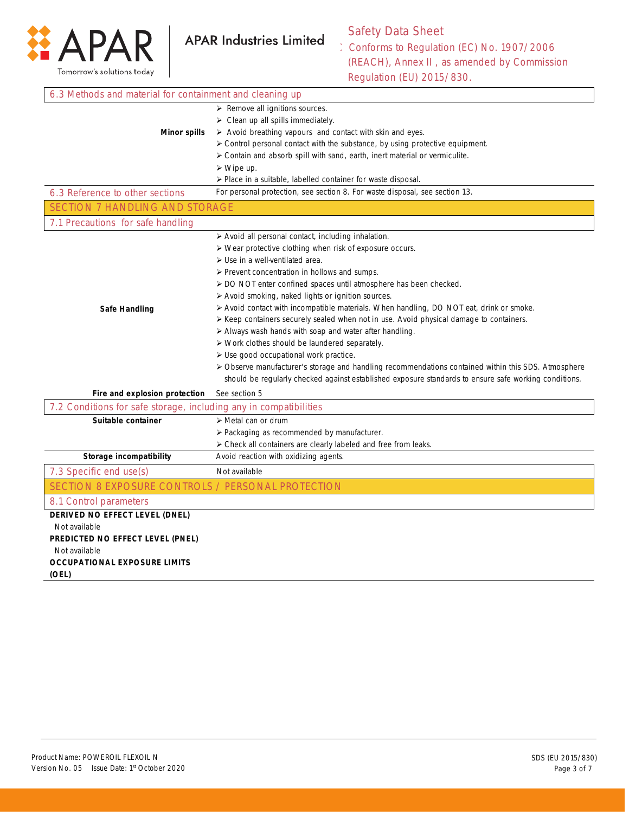

# Safety Data Sheet

Conforms to Regulation (EC) No. 1907/2006 (REACH), Annex II , as amended by Commission Regulation (EU) 2015/830.

| 6.3 Methods and material for containment and cleaning up          |                                                                                                        |
|-------------------------------------------------------------------|--------------------------------------------------------------------------------------------------------|
|                                                                   | $\triangleright$ Remove all ignitions sources.                                                         |
|                                                                   | $\triangleright$ Clean up all spills immediately.                                                      |
| <b>Minor spills</b>                                               | $\triangleright$ Avoid breathing vapours and contact with skin and eyes.                               |
|                                                                   | > Control personal contact with the substance, by using protective equipment.                          |
|                                                                   | $\triangleright$ Contain and absorb spill with sand, earth, inert material or vermiculite.             |
|                                                                   | $\triangleright$ Wipe up.                                                                              |
|                                                                   | > Place in a suitable, labelled container for waste disposal.                                          |
| 6.3 Reference to other sections                                   | For personal protection, see section 8. For waste disposal, see section 13.                            |
| <b>SECTION 7 HANDLING AND STORAGE</b>                             |                                                                                                        |
| 7.1 Precautions for safe handling                                 |                                                                                                        |
|                                                                   | > Avoid all personal contact, including inhalation.                                                    |
|                                                                   | > Wear protective clothing when risk of exposure occurs.                                               |
|                                                                   | > Use in a well-ventilated area.                                                                       |
|                                                                   | > Prevent concentration in hollows and sumps.                                                          |
|                                                                   | > DO NOT enter confined spaces until atmosphere has been checked.                                      |
|                                                                   | > Avoid smoking, naked lights or ignition sources.                                                     |
| Safe Handling                                                     | $\triangleright$ Avoid contact with incompatible materials. When handling, DO NOT eat, drink or smoke. |
|                                                                   | ≻ Keep containers securely sealed when not in use. Avoid physical damage to containers.                |
|                                                                   | > Always wash hands with soap and water after handling.                                                |
|                                                                   | > Work clothes should be laundered separately.                                                         |
|                                                                   | > Use good occupational work practice.                                                                 |
|                                                                   | > Observe manufacturer's storage and handling recommendations contained within this SDS. Atmosphere    |
|                                                                   | should be regularly checked against established exposure standards to ensure safe working conditions.  |
| Fire and explosion protection                                     | See section 5                                                                                          |
| 7.2 Conditions for safe storage, including any in compatibilities |                                                                                                        |
| Suitable container                                                | $\triangleright$ Metal can or drum                                                                     |
|                                                                   | > Packaging as recommended by manufacturer.                                                            |
|                                                                   | > Check all containers are clearly labeled and free from leaks.                                        |
| <b>Storage incompatibility</b>                                    | Avoid reaction with oxidizing agents.                                                                  |
| 7.3 Specific end use(s)                                           | Not available                                                                                          |
| SECTION 8 EXPOSURE CONTROLS / PERSONAL PROTECTION                 |                                                                                                        |
| 8.1 Control parameters                                            |                                                                                                        |
| DERIVED NO EFFECT LEVEL (DNEL)                                    |                                                                                                        |
| Not available                                                     |                                                                                                        |
| PREDICTED NO EFFECT LEVEL (PNEL)                                  |                                                                                                        |
| Not available                                                     |                                                                                                        |
| <b>OCCUPATIONAL EXPOSURE LIMITS</b>                               |                                                                                                        |
| (OEL)                                                             |                                                                                                        |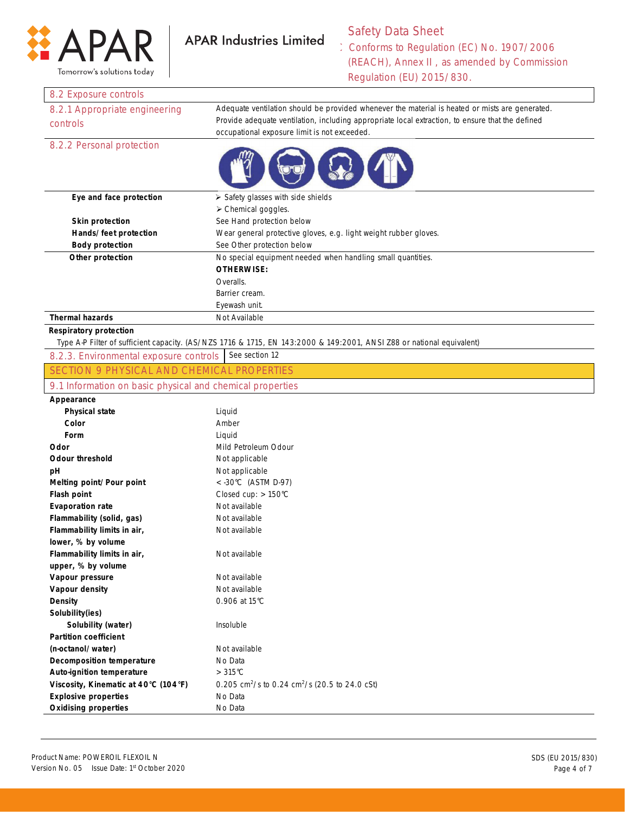

Tomorrow's solutions today

#### Safety Data Sheet **APAR Industries Limited**

Conforms to Regulation (EC) No. 1907/2006 (REACH), Annex II , as amended by Commission Regulation (EU) 2015/830.

#### 8.2 Exposure controls

| 8.2.1 Appropriate engineering | Adequate ventilation should be provided whenever the material is heated or mists are generated.  |
|-------------------------------|--------------------------------------------------------------------------------------------------|
| controls                      | Provide adequate ventilation, including appropriate local extraction, to ensure that the defined |
|                               | occupational exposure limit is not exceeded.                                                     |
| 8.2.2 Personal protection     |                                                                                                  |



| Eye and face protection | $\triangleright$ Safety glasses with side shields                |  |
|-------------------------|------------------------------------------------------------------|--|
|                         | $\triangleright$ Chemical goggles.                               |  |
| <b>Skin protection</b>  | See Hand protection below                                        |  |
| Hands/feet protection   | Wear general protective gloves, e.g. light weight rubber gloves. |  |
| <b>Body protection</b>  | See Other protection below                                       |  |
| Other protection        | No special equipment needed when handling small quantities.      |  |
|                         | <b>OTHERWISE:</b>                                                |  |
|                         | Overalls.                                                        |  |
|                         | Barrier cream.                                                   |  |
|                         | Eyewash unit.                                                    |  |
| <b>Thermal hazards</b>  | Not Available                                                    |  |

#### **Respiratory protection**

Type A-P Filter of sufficient capacity. (AS/NZS 1716 & 1715, EN 143:2000 & 149:2001, ANSI Z88 or national equivalent)

| 8.2.3. Environmental exposure controls See section 12 |  |
|-------------------------------------------------------|--|
|-------------------------------------------------------|--|

SECTION 9 PHYSICAL AND CHEMICAL PROPERTIES

#### 9.1 Information on basic physical and chemical properties

### **Appearance**

| <b>Physical state</b>                | Liquid                                                                 |
|--------------------------------------|------------------------------------------------------------------------|
| Color                                | Amber                                                                  |
| Form                                 | Liquid                                                                 |
| Odor                                 | Mild Petroleum Odour                                                   |
| <b>Odour threshold</b>               | Not applicable                                                         |
| рH                                   | Not applicable                                                         |
| Melting point/Pour point             | $<$ -30°C (ASTM D-97)                                                  |
| <b>Flash point</b>                   | Closed cup: $> 150^{\circ}$ C                                          |
| <b>Evaporation rate</b>              | Not available                                                          |
| Flammability (solid, gas)            | Not available                                                          |
| Flammability limits in air,          | Not available                                                          |
| lower, % by volume                   |                                                                        |
| Flammability limits in air,          | Not available                                                          |
| upper, % by volume                   |                                                                        |
| Vapour pressure                      | Not available                                                          |
| Vapour density                       | Not available                                                          |
| <b>Density</b>                       | 0.906 at 15°C                                                          |
| Solubility(ies)                      |                                                                        |
| Solubility (water)                   | Insoluble                                                              |
| <b>Partition coefficient</b>         |                                                                        |
| (n-octanol/water)                    | Not available                                                          |
| <b>Decomposition temperature</b>     | No Data                                                                |
| <b>Auto-ignition temperature</b>     | $>315^{\circ}$ C                                                       |
| Viscosity, Kinematic at 40°C (104°F) | 0.205 cm <sup>2</sup> /s to 0.24 cm <sup>2</sup> /s (20.5 to 24.0 cSt) |
| <b>Explosive properties</b>          | No Data                                                                |
| <b>Oxidising properties</b>          | No Data                                                                |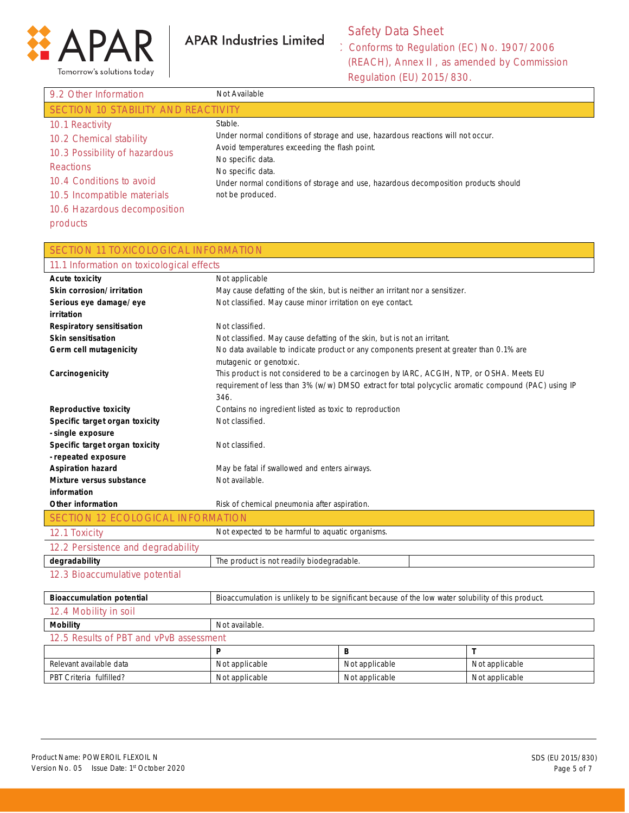

**APAR Industries Limited** 

# Safety Data Sheet

Conforms to Regulation (EC) No. 1907/2006 (REACH), Annex II , as amended by Commission Regulation (EU) 2015/830.

| 9.2 Other Information               | Not Available                                                                                                                    |
|-------------------------------------|----------------------------------------------------------------------------------------------------------------------------------|
| SECTION 10 STABILITY AND REACTIVITY |                                                                                                                                  |
| 10.1 Reactivity                     | Stable.                                                                                                                          |
| 10.2 Chemical stability             | Under normal conditions of storage and use, hazardous reactions will not occur.<br>Avoid temperatures exceeding the flash point. |
| 10.3 Possibility of hazardous       | No specific data.                                                                                                                |
| <b>Reactions</b>                    | No specific data.                                                                                                                |
| 10.4 Conditions to avoid            | Under normal conditions of storage and use, hazardous decomposition products should                                              |
| 10.5 Incompatible materials         | not be produced.                                                                                                                 |
| 10.6 Hazardous decomposition        |                                                                                                                                  |
| products                            |                                                                                                                                  |

| 11.1 Information on toxicological effects<br>Not applicable<br><b>Acute toxicity</b><br>Skin corrosion/irritation<br>May cause defatting of the skin, but is neither an irritant nor a sensitizer.<br>Not classified. May cause minor irritation on eye contact.<br>Serious eye damage/eye<br>irritation<br>Not classified.<br><b>Respiratory sensitisation</b><br><b>Skin sensitisation</b><br>Not classified. May cause defatting of the skin, but is not an irritant.<br>No data available to indicate product or any components present at greater than 0.1% are<br>Germ cell mutagenicity<br>mutagenic or genotoxic.<br>This product is not considered to be a carcinogen by IARC, ACGIH, NTP, or OSHA. Meets EU<br>Carcinogenicity<br>requirement of less than 3% (w/w) DMSO extract for total polycyclic aromatic compound (PAC) using IP<br>346.<br><b>Reproductive toxicity</b><br>Contains no ingredient listed as toxic to reproduction<br>Specific target organ toxicity<br>Not classified. | SECTION 11 TOXICOLOGICAL INFORMATION |                                               |  |  |
|---------------------------------------------------------------------------------------------------------------------------------------------------------------------------------------------------------------------------------------------------------------------------------------------------------------------------------------------------------------------------------------------------------------------------------------------------------------------------------------------------------------------------------------------------------------------------------------------------------------------------------------------------------------------------------------------------------------------------------------------------------------------------------------------------------------------------------------------------------------------------------------------------------------------------------------------------------------------------------------------------------|--------------------------------------|-----------------------------------------------|--|--|
|                                                                                                                                                                                                                                                                                                                                                                                                                                                                                                                                                                                                                                                                                                                                                                                                                                                                                                                                                                                                         |                                      |                                               |  |  |
|                                                                                                                                                                                                                                                                                                                                                                                                                                                                                                                                                                                                                                                                                                                                                                                                                                                                                                                                                                                                         |                                      |                                               |  |  |
|                                                                                                                                                                                                                                                                                                                                                                                                                                                                                                                                                                                                                                                                                                                                                                                                                                                                                                                                                                                                         |                                      |                                               |  |  |
|                                                                                                                                                                                                                                                                                                                                                                                                                                                                                                                                                                                                                                                                                                                                                                                                                                                                                                                                                                                                         |                                      |                                               |  |  |
|                                                                                                                                                                                                                                                                                                                                                                                                                                                                                                                                                                                                                                                                                                                                                                                                                                                                                                                                                                                                         |                                      |                                               |  |  |
|                                                                                                                                                                                                                                                                                                                                                                                                                                                                                                                                                                                                                                                                                                                                                                                                                                                                                                                                                                                                         |                                      |                                               |  |  |
|                                                                                                                                                                                                                                                                                                                                                                                                                                                                                                                                                                                                                                                                                                                                                                                                                                                                                                                                                                                                         |                                      |                                               |  |  |
|                                                                                                                                                                                                                                                                                                                                                                                                                                                                                                                                                                                                                                                                                                                                                                                                                                                                                                                                                                                                         |                                      |                                               |  |  |
|                                                                                                                                                                                                                                                                                                                                                                                                                                                                                                                                                                                                                                                                                                                                                                                                                                                                                                                                                                                                         |                                      |                                               |  |  |
|                                                                                                                                                                                                                                                                                                                                                                                                                                                                                                                                                                                                                                                                                                                                                                                                                                                                                                                                                                                                         |                                      |                                               |  |  |
|                                                                                                                                                                                                                                                                                                                                                                                                                                                                                                                                                                                                                                                                                                                                                                                                                                                                                                                                                                                                         |                                      |                                               |  |  |
|                                                                                                                                                                                                                                                                                                                                                                                                                                                                                                                                                                                                                                                                                                                                                                                                                                                                                                                                                                                                         |                                      |                                               |  |  |
|                                                                                                                                                                                                                                                                                                                                                                                                                                                                                                                                                                                                                                                                                                                                                                                                                                                                                                                                                                                                         |                                      |                                               |  |  |
|                                                                                                                                                                                                                                                                                                                                                                                                                                                                                                                                                                                                                                                                                                                                                                                                                                                                                                                                                                                                         | - single exposure                    |                                               |  |  |
| Specific target organ toxicity                                                                                                                                                                                                                                                                                                                                                                                                                                                                                                                                                                                                                                                                                                                                                                                                                                                                                                                                                                          |                                      | Not classified.                               |  |  |
| - repeated exposure                                                                                                                                                                                                                                                                                                                                                                                                                                                                                                                                                                                                                                                                                                                                                                                                                                                                                                                                                                                     |                                      |                                               |  |  |
| <b>Aspiration hazard</b>                                                                                                                                                                                                                                                                                                                                                                                                                                                                                                                                                                                                                                                                                                                                                                                                                                                                                                                                                                                |                                      | May be fatal if swallowed and enters airways. |  |  |
| Mixture versus substance<br>Not available.                                                                                                                                                                                                                                                                                                                                                                                                                                                                                                                                                                                                                                                                                                                                                                                                                                                                                                                                                              |                                      |                                               |  |  |
| information                                                                                                                                                                                                                                                                                                                                                                                                                                                                                                                                                                                                                                                                                                                                                                                                                                                                                                                                                                                             |                                      |                                               |  |  |
| <b>Other information</b><br>Risk of chemical pneumonia after aspiration.                                                                                                                                                                                                                                                                                                                                                                                                                                                                                                                                                                                                                                                                                                                                                                                                                                                                                                                                |                                      |                                               |  |  |
| <b>SECTION 12 ECOLOGICAL INFORMATION</b>                                                                                                                                                                                                                                                                                                                                                                                                                                                                                                                                                                                                                                                                                                                                                                                                                                                                                                                                                                |                                      |                                               |  |  |
| Not expected to be harmful to aquatic organisms.<br>12.1 Toxicity                                                                                                                                                                                                                                                                                                                                                                                                                                                                                                                                                                                                                                                                                                                                                                                                                                                                                                                                       |                                      |                                               |  |  |
| 12.2 Persistence and degradability                                                                                                                                                                                                                                                                                                                                                                                                                                                                                                                                                                                                                                                                                                                                                                                                                                                                                                                                                                      |                                      |                                               |  |  |
| degradability<br>The product is not readily biodegradable.                                                                                                                                                                                                                                                                                                                                                                                                                                                                                                                                                                                                                                                                                                                                                                                                                                                                                                                                              |                                      |                                               |  |  |
| 12.3 Bioaccumulative potential                                                                                                                                                                                                                                                                                                                                                                                                                                                                                                                                                                                                                                                                                                                                                                                                                                                                                                                                                                          |                                      |                                               |  |  |
| <b>Bioaccumulation potential</b><br>Bioaccumulation is unlikely to be significant because of the low water solubility of this product.                                                                                                                                                                                                                                                                                                                                                                                                                                                                                                                                                                                                                                                                                                                                                                                                                                                                  |                                      |                                               |  |  |
| 12.4 Mobility in soil                                                                                                                                                                                                                                                                                                                                                                                                                                                                                                                                                                                                                                                                                                                                                                                                                                                                                                                                                                                   |                                      |                                               |  |  |
| Not available.<br><b>Mobility</b>                                                                                                                                                                                                                                                                                                                                                                                                                                                                                                                                                                                                                                                                                                                                                                                                                                                                                                                                                                       |                                      |                                               |  |  |
| 12.5 Results of PBT and vPvB assessment                                                                                                                                                                                                                                                                                                                                                                                                                                                                                                                                                                                                                                                                                                                                                                                                                                                                                                                                                                 |                                      |                                               |  |  |
| P<br>B<br>T                                                                                                                                                                                                                                                                                                                                                                                                                                                                                                                                                                                                                                                                                                                                                                                                                                                                                                                                                                                             |                                      |                                               |  |  |
| Relevant available data<br>Not applicable<br>Not applicable<br>Not applicable                                                                                                                                                                                                                                                                                                                                                                                                                                                                                                                                                                                                                                                                                                                                                                                                                                                                                                                           |                                      |                                               |  |  |
| PBT Criteria fulfilled?<br>Not applicable<br>Not applicable<br>Not applicable                                                                                                                                                                                                                                                                                                                                                                                                                                                                                                                                                                                                                                                                                                                                                                                                                                                                                                                           |                                      |                                               |  |  |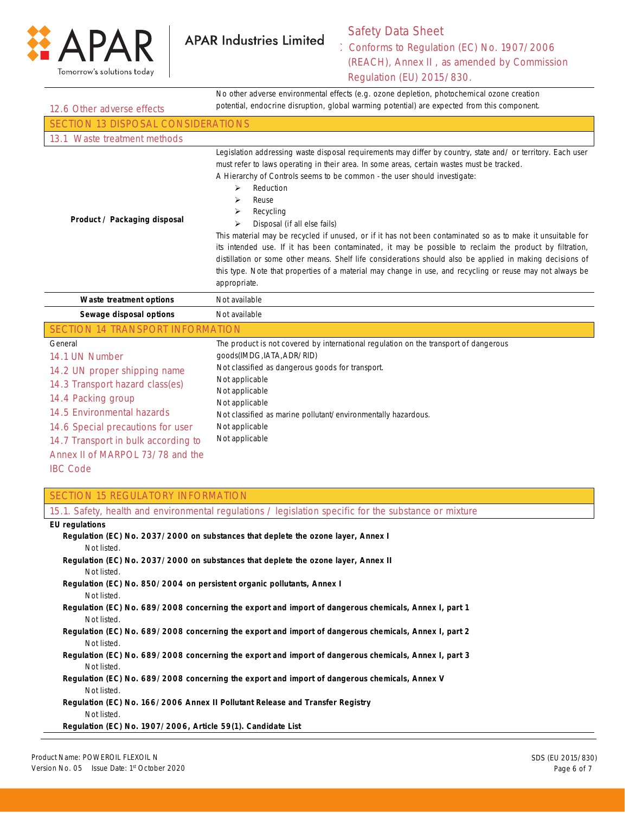

Not applicable Not applicable

## Safety Data Sheet

Conforms to Regulation (EC) No. 1907/2006

| $\blacksquare$<br>Tomorrow's solutions today                                                                                                     | (REACH), Annex II, as amended by Commission<br>Regulation (EU) 2015/830.                                                                                                                                                                                                                                                                                                                                                                                                                                                                                                                                                                                                                                                                                                                                                                                              |  |  |
|--------------------------------------------------------------------------------------------------------------------------------------------------|-----------------------------------------------------------------------------------------------------------------------------------------------------------------------------------------------------------------------------------------------------------------------------------------------------------------------------------------------------------------------------------------------------------------------------------------------------------------------------------------------------------------------------------------------------------------------------------------------------------------------------------------------------------------------------------------------------------------------------------------------------------------------------------------------------------------------------------------------------------------------|--|--|
| 12.6 Other adverse effects                                                                                                                       | No other adverse environmental effects (e.g. ozone depletion, photochemical ozone creation<br>potential, endocrine disruption, global warming potential) are expected from this component.                                                                                                                                                                                                                                                                                                                                                                                                                                                                                                                                                                                                                                                                            |  |  |
| <b>SECTION 13 DISPOSAL CONSIDERATIONS</b>                                                                                                        |                                                                                                                                                                                                                                                                                                                                                                                                                                                                                                                                                                                                                                                                                                                                                                                                                                                                       |  |  |
| 13.1 Waste treatment methods                                                                                                                     |                                                                                                                                                                                                                                                                                                                                                                                                                                                                                                                                                                                                                                                                                                                                                                                                                                                                       |  |  |
| Product / Packaging disposal                                                                                                                     | Legislation addressing waste disposal requirements may differ by country, state and/or territory. Each user<br>must refer to laws operating in their area. In some areas, certain wastes must be tracked.<br>A Hierarchy of Controls seems to be common - the user should investigate:<br>Reduction<br>$\blacktriangleright$<br>Reuse<br>⋗<br>Recycling<br>⋗<br>Disposal (if all else fails)<br>⋗<br>This material may be recycled if unused, or if it has not been contaminated so as to make it unsuitable for<br>its intended use. If it has been contaminated, it may be possible to reclaim the product by filtration,<br>distillation or some other means. Shelf life considerations should also be applied in making decisions of<br>this type. Note that properties of a material may change in use, and recycling or reuse may not always be<br>appropriate. |  |  |
| Waste treatment options                                                                                                                          | Not available                                                                                                                                                                                                                                                                                                                                                                                                                                                                                                                                                                                                                                                                                                                                                                                                                                                         |  |  |
| Sewage disposal options                                                                                                                          | Not available                                                                                                                                                                                                                                                                                                                                                                                                                                                                                                                                                                                                                                                                                                                                                                                                                                                         |  |  |
| SECTION 14 TRANSPORT INFORMATION                                                                                                                 |                                                                                                                                                                                                                                                                                                                                                                                                                                                                                                                                                                                                                                                                                                                                                                                                                                                                       |  |  |
| General<br>14.1 UN Number<br>14.2 UN proper shipping name<br>14.3 Transport hazard class(es)<br>14.4 Packing group<br>14.5 Environmental hazards | The product is not covered by international regulation on the transport of dangerous<br>qoods(IMDG, IATA, ADR/RID)<br>Not classified as dangerous goods for transport.<br>Not applicable<br>Not applicable<br>Not applicable                                                                                                                                                                                                                                                                                                                                                                                                                                                                                                                                                                                                                                          |  |  |
|                                                                                                                                                  | Not classified as marine pollutant/environmentally hazardous.                                                                                                                                                                                                                                                                                                                                                                                                                                                                                                                                                                                                                                                                                                                                                                                                         |  |  |

14.7 Transport in bulk according to Annex II of MARPOL 73/78 and the

14.6 Special precautions for user

IBC Code

## SECTION 15 REGULATORY INFORMATION

| 15.1. Safety, health and environmental regulations / legislation specific for the substance or mixture |
|--------------------------------------------------------------------------------------------------------|
| <b>EU</b> regulations                                                                                  |
| Regulation (EC) No. 2037/2000 on substances that deplete the ozone layer, Annex I                      |
| Not listed.                                                                                            |
| Regulation (EC) No. 2037/2000 on substances that deplete the ozone layer, Annex II                     |
| Not listed.                                                                                            |
| Regulation (EC) No. 850/2004 on persistent organic pollutants, Annex I                                 |
| Not listed.                                                                                            |
| Regulation (EC) No. 689/2008 concerning the export and import of dangerous chemicals, Annex I, part 1  |
| Not listed.                                                                                            |
| Regulation (EC) No. 689/2008 concerning the export and import of dangerous chemicals, Annex I, part 2  |
| Not listed.                                                                                            |
| Regulation (EC) No. 689/2008 concerning the export and import of dangerous chemicals, Annex I, part 3  |
| Not listed.                                                                                            |
| Regulation (EC) No. 689/2008 concerning the export and import of dangerous chemicals, Annex V          |
| Not listed.                                                                                            |
| Regulation (EC) No. 166/2006 Annex II Pollutant Release and Transfer Registry                          |
| Not listed.                                                                                            |
| Regulation (EC) No. 1907/2006, Article 59(1). Candidate List                                           |